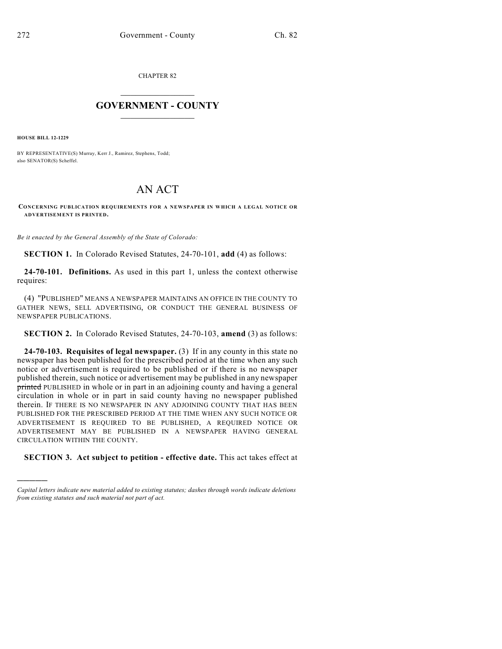CHAPTER 82

## $\overline{\phantom{a}}$  . The set of the set of the set of the set of the set of the set of the set of the set of the set of the set of the set of the set of the set of the set of the set of the set of the set of the set of the set o **GOVERNMENT - COUNTY**  $\_$

**HOUSE BILL 12-1229**

)))))

BY REPRESENTATIVE(S) Murray, Kerr J., Ramirez, Stephens, Todd; also SENATOR(S) Scheffel.

## AN ACT

## **CONCERNING PUBLICATION REQUIREMENTS FOR A NEWSPAPER IN WHICH A LEGAL NOTICE OR ADVERTISEMENT IS PRINTED.**

*Be it enacted by the General Assembly of the State of Colorado:*

**SECTION 1.** In Colorado Revised Statutes, 24-70-101, **add** (4) as follows:

**24-70-101. Definitions.** As used in this part 1, unless the context otherwise requires:

(4) "PUBLISHED" MEANS A NEWSPAPER MAINTAINS AN OFFICE IN THE COUNTY TO GATHER NEWS, SELL ADVERTISING, OR CONDUCT THE GENERAL BUSINESS OF NEWSPAPER PUBLICATIONS.

**SECTION 2.** In Colorado Revised Statutes, 24-70-103, **amend** (3) as follows:

**24-70-103. Requisites of legal newspaper.** (3) If in any county in this state no newspaper has been published for the prescribed period at the time when any such notice or advertisement is required to be published or if there is no newspaper published therein, such notice or advertisement may be published in any newspaper printed PUBLISHED in whole or in part in an adjoining county and having a general circulation in whole or in part in said county having no newspaper published therein. IF THERE IS NO NEWSPAPER IN ANY ADJOINING COUNTY THAT HAS BEEN PUBLISHED FOR THE PRESCRIBED PERIOD AT THE TIME WHEN ANY SUCH NOTICE OR ADVERTISEMENT IS REQUIRED TO BE PUBLISHED, A REQUIRED NOTICE OR ADVERTISEMENT MAY BE PUBLISHED IN A NEWSPAPER HAVING GENERAL CIRCULATION WITHIN THE COUNTY.

**SECTION 3. Act subject to petition - effective date.** This act takes effect at

*Capital letters indicate new material added to existing statutes; dashes through words indicate deletions from existing statutes and such material not part of act.*